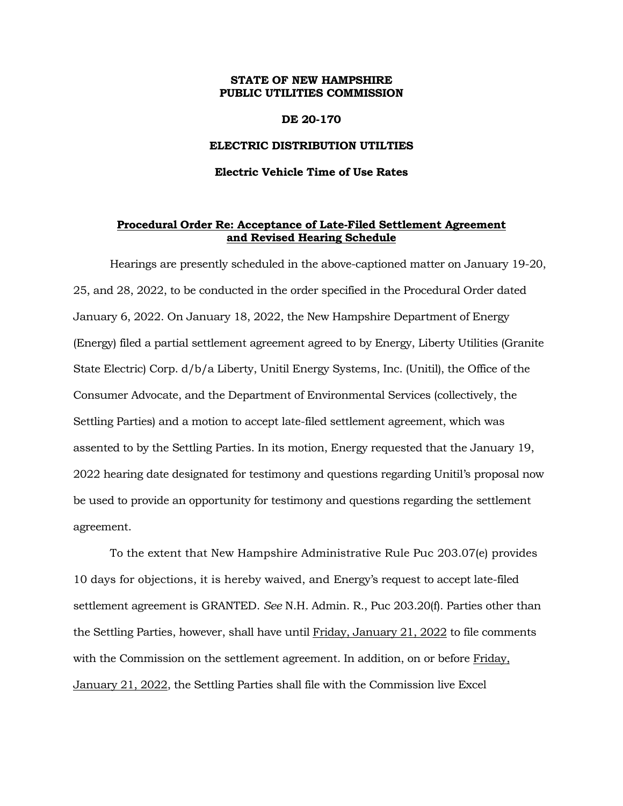#### **STATE OF NEW HAMPSHIRE PUBLIC UTILITIES COMMISSION**

#### **DE 20-170**

#### **ELECTRIC DISTRIBUTION UTILTIES**

### **Electric Vehicle Time of Use Rates**

## **Procedural Order Re: Acceptance of Late-Filed Settlement Agreement and Revised Hearing Schedule**

Hearings are presently scheduled in the above-captioned matter on January 19-20, 25, and 28, 2022, to be conducted in the order specified in the Procedural Order dated January 6, 2022. On January 18, 2022, the New Hampshire Department of Energy (Energy) filed a partial settlement agreement agreed to by Energy, Liberty Utilities (Granite State Electric) Corp. d/b/a Liberty, Unitil Energy Systems, Inc. (Unitil), the Office of the Consumer Advocate, and the Department of Environmental Services (collectively, the Settling Parties) and a motion to accept late-filed settlement agreement, which was assented to by the Settling Parties. In its motion, Energy requested that the January 19, 2022 hearing date designated for testimony and questions regarding Unitil's proposal now be used to provide an opportunity for testimony and questions regarding the settlement agreement.

To the extent that New Hampshire Administrative Rule Puc 203.07(e) provides 10 days for objections, it is hereby waived, and Energy's request to accept late-filed settlement agreement is GRANTED. *See* N.H. Admin. R., Puc 203.20(f). Parties other than the Settling Parties, however, shall have until Friday, January 21, 2022 to file comments with the Commission on the settlement agreement. In addition, on or before Friday, January 21, 2022, the Settling Parties shall file with the Commission live Excel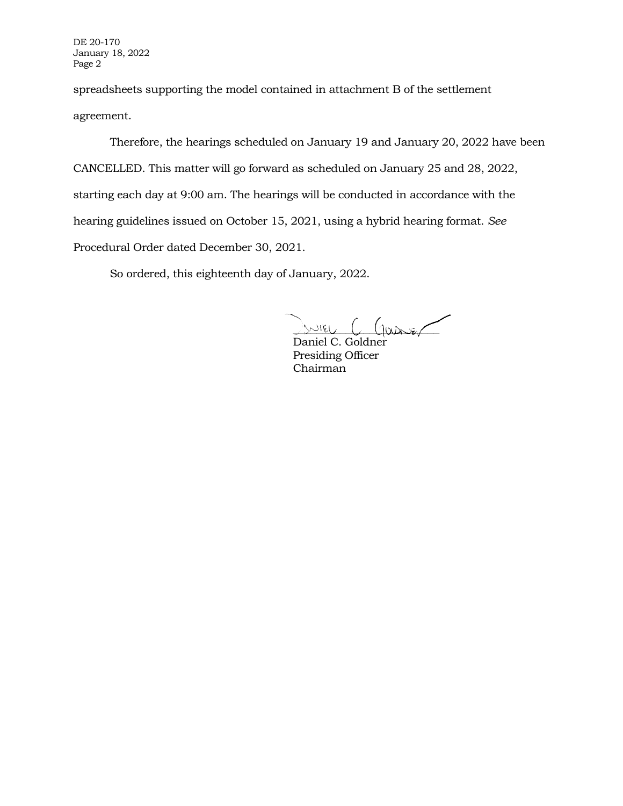DE 20-170 January 18, 2022 Page 2

spreadsheets supporting the model contained in attachment B of the settlement agreement.

Therefore, the hearings scheduled on January 19 and January 20, 2022 have been CANCELLED. This matter will go forward as scheduled on January 25 and 28, 2022, starting each day at 9:00 am. The hearings will be conducted in accordance with the hearing guidelines issued on October 15, 2021, using a hybrid hearing format. *See* Procedural Order dated December 30, 2021.

So ordered, this eighteenth day of January, 2022.

 $S/NIEU$   $C$   $(g_{QD}D)Z$ 

Daniel C. Goldner Presiding Officer Chairman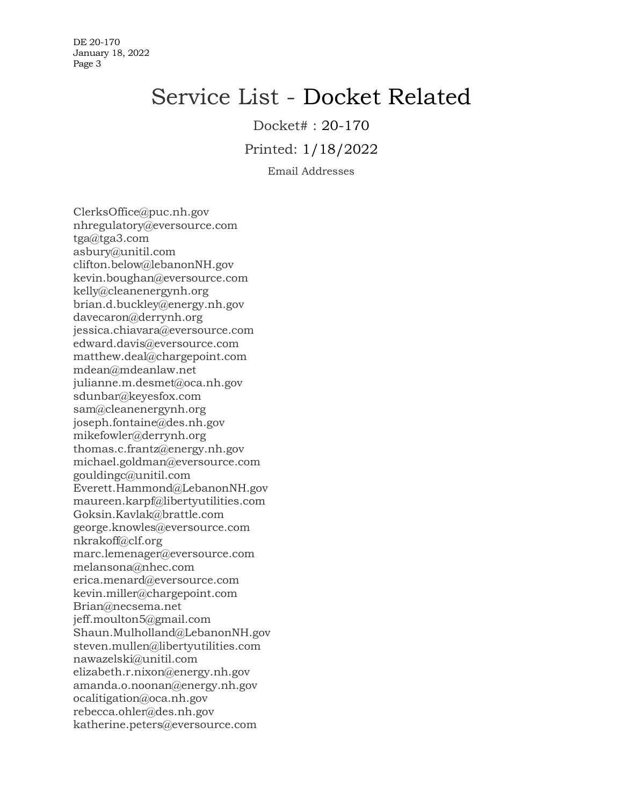DE 20-170 January 18, 2022 Page 3

# Service List - Docket Related

Docket# : 20-170

Printed: 1/18/2022

Email Addresses

ClerksOffice@puc.nh.gov nhregulatory@eversource.com tga@tga3.com asbury@unitil.com clifton.below@lebanonNH.gov kevin.boughan@eversource.com kelly@cleanenergynh.org brian.d.buckley@energy.nh.gov davecaron@derrynh.org jessica.chiavara@eversource.com edward.davis@eversource.com matthew.deal@chargepoint.com mdean@mdeanlaw.net julianne.m.desmet@oca.nh.gov sdunbar@keyesfox.com sam@cleanenergynh.org joseph.fontaine@des.nh.gov mikefowler@derrynh.org thomas.c.frantz@energy.nh.gov michael.goldman@eversource.com gouldingc@unitil.com Everett.Hammond@LebanonNH.gov maureen.karpf@libertyutilities.com Goksin.Kavlak@brattle.com george.knowles@eversource.com nkrakoff@clf.org marc.lemenager@eversource.com melansona@nhec.com erica.menard@eversource.com kevin.miller@chargepoint.com Brian@necsema.net jeff.moulton5@gmail.com Shaun.Mulholland@LebanonNH.gov steven.mullen@libertyutilities.com nawazelski@unitil.com elizabeth.r.nixon@energy.nh.gov amanda.o.noonan@energy.nh.gov ocalitigation@oca.nh.gov rebecca.ohler@des.nh.gov katherine.peters@eversource.com